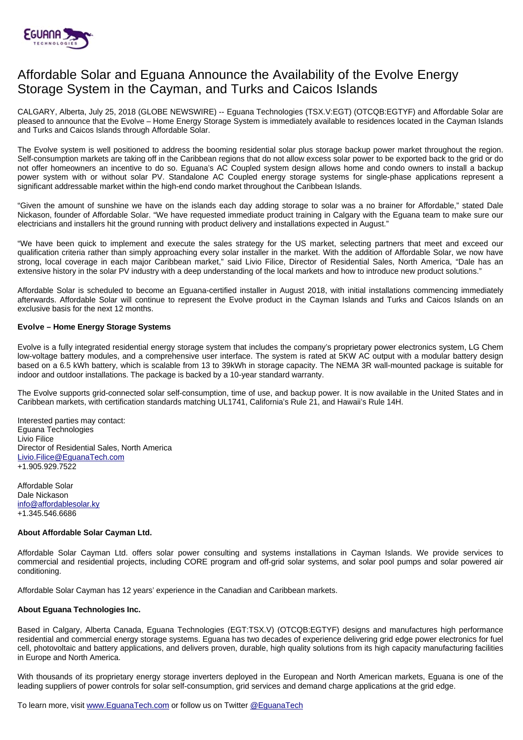

# Affordable Solar and Eguana Announce the Availability of the Evolve Energy Storage System in the Cayman, and Turks and Caicos Islands

CALGARY, Alberta, July 25, 2018 (GLOBE NEWSWIRE) -- Eguana Technologies (TSX.V:EGT) (OTCQB:EGTYF) and Affordable Solar are pleased to announce that the Evolve – Home Energy Storage System is immediately available to residences located in the Cayman Islands and Turks and Caicos Islands through Affordable Solar.

The Evolve system is well positioned to address the booming residential solar plus storage backup power market throughout the region. Self-consumption markets are taking off in the Caribbean regions that do not allow excess solar power to be exported back to the grid or do not offer homeowners an incentive to do so. Eguana's AC Coupled system design allows home and condo owners to install a backup power system with or without solar PV. Standalone AC Coupled energy storage systems for single-phase applications represent a significant addressable market within the high-end condo market throughout the Caribbean Islands.

"Given the amount of sunshine we have on the islands each day adding storage to solar was a no brainer for Affordable," stated Dale Nickason, founder of Affordable Solar. "We have requested immediate product training in Calgary with the Eguana team to make sure our electricians and installers hit the ground running with product delivery and installations expected in August."

"We have been quick to implement and execute the sales strategy for the US market, selecting partners that meet and exceed our qualification criteria rather than simply approaching every solar installer in the market. With the addition of Affordable Solar, we now have strong, local coverage in each major Caribbean market," said Livio Filice, Director of Residential Sales, North America, "Dale has an extensive history in the solar PV industry with a deep understanding of the local markets and how to introduce new product solutions."

Affordable Solar is scheduled to become an Eguana-certified installer in August 2018, with initial installations commencing immediately afterwards. Affordable Solar will continue to represent the Evolve product in the Cayman Islands and Turks and Caicos Islands on an exclusive basis for the next 12 months.

## **Evolve – Home Energy Storage Systems**

Evolve is a fully integrated residential energy storage system that includes the company's proprietary power electronics system, LG Chem low-voltage battery modules, and a comprehensive user interface. The system is rated at 5KW AC output with a modular battery design based on a 6.5 kWh battery, which is scalable from 13 to 39kWh in storage capacity. The NEMA 3R wall-mounted package is suitable for indoor and outdoor installations. The package is backed by a 10-year standard warranty.

The Evolve supports grid-connected solar self-consumption, time of use, and backup power. It is now available in the United States and in Caribbean markets, with certification standards matching UL1741, California's Rule 21, and Hawaii's Rule 14H.

Interested parties may contact: Eguana Technologies Livio Filice Director of Residential Sales, North America [Livio.Filice@EguanaTech.com](mailto:Livio.Filice@EguanaTech.com) +1.905.929.7522

Affordable Solar Dale Nickason [info@affordablesolar.ky](mailto:info@affordablesolar.ky) +1.345.546.6686

# **About Affordable Solar Cayman Ltd.**

Affordable Solar Cayman Ltd. offers solar power consulting and systems installations in Cayman Islands. We provide services to commercial and residential projects, including CORE program and off-grid solar systems, and solar pool pumps and solar powered air conditioning.

Affordable Solar Cayman has 12 years' experience in the Canadian and Caribbean markets.

# **About Eguana Technologies Inc.**

Based in Calgary, Alberta Canada, Eguana Technologies (EGT:TSX.V) (OTCQB:EGTYF) designs and manufactures high performance residential and commercial energy storage systems. Eguana has two decades of experience delivering grid edge power electronics for fuel cell, photovoltaic and battery applications, and delivers proven, durable, high quality solutions from its high capacity manufacturing facilities in Europe and North America.

With thousands of its proprietary energy storage inverters deployed in the European and North American markets, Eguana is one of the leading suppliers of power controls for solar self-consumption, grid services and demand charge applications at the grid edge.

To learn more, visit [www.EguanaTech.com](http://www.eguanatech.com/) or follow us on Twitter [@EguanaTech](https://twitter.com/EguanaTech)